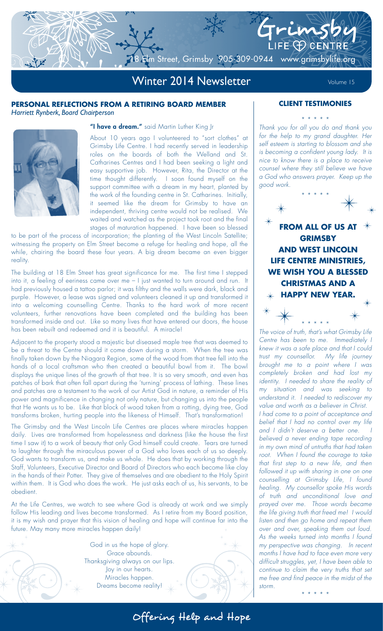# Winter 2014 Newsletter Volume 15

m Street, Grimsby 905-309-0944 www.grimsbylife.org

# **PERSONAL REFLECTIONS FROM A RETIRING BOARD MEMBER** *Harriett Rynberk, Board Chairperson*



# "I have a dream." said Martin Luther King Jr

About 10 years ago I volunteered to "sort clothes" at Grimsby Life Centre. I had recently served in leadership roles on the boards of both the Welland and St. Catharines Centres and I had been seeking a light and easy supportive job. However, Rita, the Director at the time thought differently. I soon found myself on the support committee with a dream in my heart, planted by the work of the founding centre in St. Catharines. Initially, it seemed like the dream for Grimsby to have an independent, thriving centre would not be realised. We waited and watched as the project took root and the final stages of maturation happened. I have been so blessed

to be part of the process of incorporation; the planting of the West Lincoln Satellite; witnessing the property on Elm Street become a refuge for healing and hope, all the while, chairing the board these four years. A big dream became an even bigger reality.

The building at 18 Elm Street has great significance for me. The first time I stepped into it, a feeling of eeriness came over me – I just wanted to turn around and run. It had previously housed a tattoo parlor; it was filthy and the walls were dark, black and purple. However, a lease was signed and volunteers cleaned it up and transformed it into a welcoming counselling Centre. Thanks to the hard work of more recent volunteers, further renovations have been completed and the building has been transformed inside and out. Like so many lives that have entered our doors, the house has been rebuilt and redeemed and it is beautiful. A miracle!

Adjacent to the property stood a majestic but diseased maple tree that was deemed to be a threat to the Centre should it come down during a storm. When the tree was finally taken down by the Niagara Region, some of the wood from that tree fell into the hands of a local craftsman who then created a beautiful bowl from it. The bowl displays the unique lines of the growth of that tree. It is so very smooth, and even has patches of bark that often fall apart during the 'turning' process of lathing. These lines and patches are a testament to the work of our Artist God in nature, a reminder of His power and magnificence in changing not only nature, but changing us into the people that He wants us to be. Like that block of wood taken from a rotting, dying tree, God transforms broken, hurting people into the likeness of Himself. That's transformation!

The Grimsby and the West Lincoln Life Centres are places where miracles happen daily. Lives are transformed from hopelessness and darkness (like the house the first time I saw it) to a work of beauty that only God himself could create. Tears are turned to laughter through the miraculous power of a God who loves each of us so deeply. God wants to transform us, and make us whole. He does that by working through the Staff, Volunteers, Executive Director and Board of Directors who each become like clay in the hands of their Potter. They give of themselves and are obedient to the Holy Spirit within them. It is God who does the work. He just asks each of us, his servants, to be obedient.

At the Life Centres, we watch to see where God is already at work and we simply follow His leading and lives become transformed. As I retire from my Board position, it is my wish and prayer that this vision of healing and hope will continue far into the future. May many more miracles happen daily!

> God in us the hope of glory. Grace abounds. Thanksgiving always on our lips. Joy in our hearts. Miracles happen. Dreams become reality!

# **CLIENT TESTIMONIES**

Grimsb

LIFE  $\bigoplus$  CENTRE

\* \* \* \* \* Thank you for all you do and thank you for the help to my grand daughter. Her self esteem is starting to blossom and she is becoming a confident young lady. It is nice to know there is a place to receive counsel where they still believe we have a God who answers prayer. Keep up the good work.



The voice of truth, that's what Grimsby Life Centre has been to me. Immediately I knew it was a safe place and that I could trust my counsellor. My life journey brought me to a point where I was completely broken and had lost my identity. I needed to share the reality of my situation and was seeking to understand it. I needed to rediscover my value and worth as a believer in Christ. I had come to a point of acceptance and belief that I had no control over my life and I didn't deserve a better one. believed a never ending tape recording in my own mind of untruths that had taken root. When I found the courage to take that first step to a new life, and then followed it up with sharing in one on one counselling at Grimsby Life, I found healing. My counsellor spoke His words of truth and unconditional love and prayed over me. Those words became the life giving truth that freed me! I would listen and then go home and repeat them over and over, speaking them out loud. As the weeks turned into months I found my perspective was changing. In recent months I have had to face even more very difficult struggles, yet, I have been able to continue to claim the very truths that set me free and find peace in the midst of the storm.

\* \* \* \* \*

Offering Help and Hope